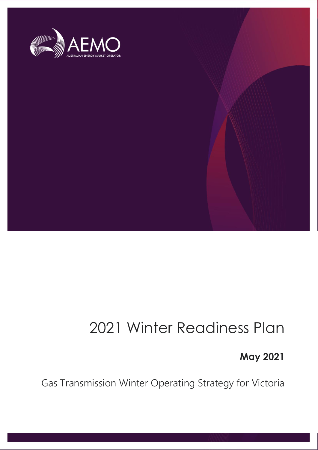

## 2021 Winter Readiness Plan

## **May 2021**

Gas Transmission Winter Operating Strategy for Victoria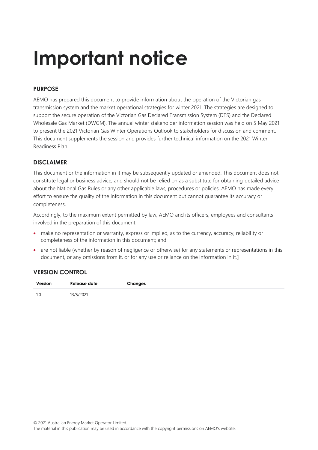# **Important notice**

### **PURPOSE**

AEMO has prepared this document to provide information about the operation of the Victorian gas transmission system and the market operational strategies for winter 2021. The strategies are designed to support the secure operation of the Victorian Gas Declared Transmission System (DTS) and the Declared Wholesale Gas Market (DWGM). The annual winter stakeholder information session was held on 5 May 2021 to present the 2021 Victorian Gas Winter Operations Outlook to stakeholders for discussion and comment. This document supplements the session and provides further technical information on the 2021 Winter Readiness Plan.

### **DISCLAIMER**

This document or the information in it may be subsequently updated or amended. This document does not constitute legal or business advice, and should not be relied on as a substitute for obtaining detailed advice about the National Gas Rules or any other applicable laws, procedures or policies. AEMO has made every effort to ensure the quality of the information in this document but cannot guarantee its accuracy or completeness.

Accordingly, to the maximum extent permitted by law, AEMO and its officers, employees and consultants involved in the preparation of this document:

- make no representation or warranty, express or implied, as to the currency, accuracy, reliability or completeness of the information in this document; and
- are not liable (whether by reason of negligence or otherwise) for any statements or representations in this document, or any omissions from it, or for any use or reliance on the information in it.]

### **VERSION CONTROL**

| Version | Release date | Changes |
|---------|--------------|---------|
| 1.0     | 13/5/2021    |         |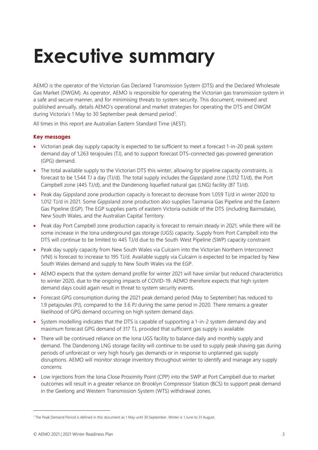# <span id="page-2-0"></span>**Executive summary**

AEMO is the operator of the Victorian Gas Declared Transmission System (DTS) and the Declared Wholesale Gas Market (DWGM). As operator, AEMO is responsible for operating the Victorian gas transmission system in a safe and secure manner, and for minimising threats to system security. This document, reviewed and published annually, details AEMO's operational and market strategies for operating the DTS and DWGM during Victoria's 1 May to 30 September peak demand period<sup>1</sup>.

All times in this report are Australian Eastern Standard Time (AEST).

### **Key messages**

- Victorian peak day supply capacity is expected to be sufficient to meet a forecast 1-in-20 peak system demand day of 1,263 terajoules (TJ), and to support forecast DTS-connected gas-powered generation (GPG) demand.
- The total available supply to the Victorian DTS this winter, allowing for pipeline capacity constraints, is forecast to be 1,544 TJ a day (TJ/d). The total supply includes the Gippsland zone (1,012 TJ/d), the Port Campbell zone (445 TJ/d), and the Dandenong liquefied natural gas (LNG) facility (87 TJ/d).
- Peak day Gippsland zone production capacity is forecast to decrease from 1,059 TJ/d in winter 2020 to 1,012 TJ/d in 2021. Some Gippsland zone production also supplies Tasmania Gas Pipeline and the Eastern Gas Pipeline (EGP). The EGP supplies parts of eastern Victoria outside of the DTS (including Bairnsdale), New South Wales, and the Australian Capital Territory.
- Peak day Port Campbell zone production capacity is forecast to remain steady in 2021, while there will be some increase in the Iona underground gas storage (UGS) capacity. Supply from Port Campbell into the DTS will continue to be limited to 445 TJ/d due to the South West Pipeline (SWP) capacity constraint
- Peak day supply capacity from New South Wales via Culcairn into the Victorian Northern Interconnect (VNI) is forecast to increase to 195 TJ/d. Available supply via Culcairn is expected to be impacted by New South Wales demand and supply to New South Wales via the EGP.
- AEMO expects that the system demand profile for winter 2021 will have similar but reduced characteristics to winter 2020, due to the ongoing impacts of COVID-19. AEMO therefore expects that high system demand days could again result in threat to system security events.
- Forecast GPG consumption during the 2021 peak demand period (May to September) has reduced to 1.9 petajoules (PJ), compared to the 3.6 PJ during the same period in 2020. There remains a greater likelihood of GPG demand occurring on high system demand days.
- System modelling indicates that the DTS is capable of supporting a 1-in-2 system demand day and maximum forecast GPG demand of 317 TJ, provided that sufficient gas supply is available.
- There will be continued reliance on the Iona UGS facility to balance daily and monthly supply and demand. The Dandenong LNG storage facility will continue to be used to supply peak shaving gas during periods of unforecast or very high hourly gas demands or in response to unplanned gas supply disruptions. AEMO will monitor storage inventory throughout winter to identify and manage any supply concerns.
- Low injections from the Iona Close Proximity Point (CPP) into the SWP at Port Campbell due to market outcomes will result in a greater reliance on Brooklyn Compressor Station (BCS) to support peak demand in the Geelong and Western Transmission System (WTS) withdrawal zones.

<sup>1</sup> The Peak Demand Period is defined in this document as 1 May until 30 September. Winter is 1 June to 31 August.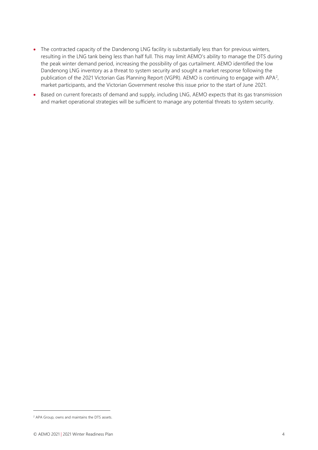- The contracted capacity of the Dandenong LNG facility is substantially less than for previous winters, resulting in the LNG tank being less than half full. This may limit AEMO's ability to manage the DTS during the peak winter demand period, increasing the possibility of gas curtailment. AEMO identified the low Dandenong LNG inventory as a threat to system security and sought a market response following the publication of the 2021 Victorian Gas Planning Report (VGPR). AEMO is continuing to engage with APA<sup>2</sup>, market participants, and the Victorian Government resolve this issue prior to the start of June 2021.
- Based on current forecasts of demand and supply, including LNG, AEMO expects that its gas transmission and market operational strategies will be sufficient to manage any potential threats to system security.

<sup>2</sup> APA Group, owns and maintains the DTS assets.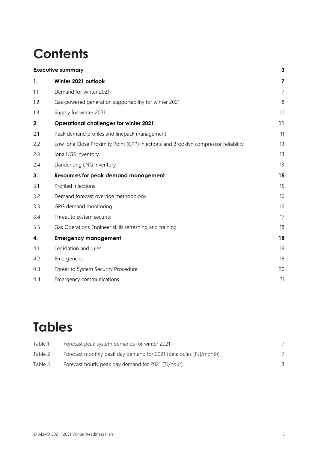## **Contents**

|     | <b>Executive summary</b>                                                            | 3              |
|-----|-------------------------------------------------------------------------------------|----------------|
| 1.  | Winter 2021 outlook                                                                 | 7              |
| 1.1 | Demand for winter 2021                                                              | $\overline{7}$ |
| 1.2 | Gas-powered generation supportability for winter 2021                               | 8              |
| 1.3 | Supply for winter 2021                                                              | 10             |
| 2.  | <b>Operational challenges for winter 2021</b>                                       | 11             |
| 2.1 | Peak demand profiles and linepack management                                        | 11             |
| 2.2 | Low Iona Close Proximity Point (CPP) injections and Brooklyn compressor reliability | 13             |
| 2.3 | Iona UGS inventory                                                                  | 13             |
| 2.4 | Dandenong LNG inventory                                                             | 13             |
| 3.  | <b>Resources for peak demand management</b>                                         | 15             |
| 3.1 | Profiled injections                                                                 | 15             |
| 3.2 | Demand forecast override methodology                                                | 16             |
| 3.3 | GPG demand monitoring                                                               | 16             |
| 3.4 | Threat to system security                                                           | 17             |
| 3.5 | Gas Operations Engineer skills refreshing and training                              | 18             |
| 4.  | <b>Emergency management</b>                                                         | 18             |
| 4.1 | Legislation and rules                                                               | 18             |
| 4.2 | Emergencies                                                                         | 18             |
| 4.3 | Threat to System Security Procedure                                                 | 20             |
| 4.4 | Emergency communications                                                            | 21             |

## **Tables**

| Table 1 | Forecast peak system demands for winter 2021                      |  |
|---------|-------------------------------------------------------------------|--|
| Table 2 | Forecast monthly peak day demand for 2021 (petajoules [PJ]/month) |  |
| Table 3 | Forecast hourly peak day demand for 2021 (TJ/hour)                |  |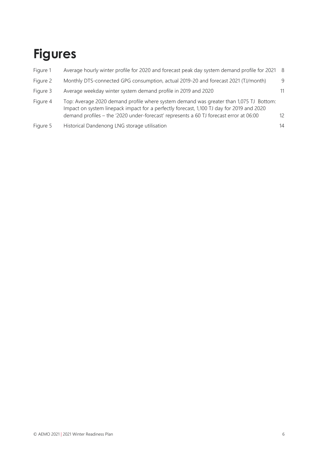## **Figures**

| Figure 1 | Average hourly winter profile for 2020 and forecast peak day system demand profile for 2021 8                                                                                                                                                                                 |     |
|----------|-------------------------------------------------------------------------------------------------------------------------------------------------------------------------------------------------------------------------------------------------------------------------------|-----|
| Figure 2 | Monthly DTS-connected GPG consumption, actual 2019-20 and forecast 2021 (TJ/month)                                                                                                                                                                                            | 9   |
| Figure 3 | Average weekday winter system demand profile in 2019 and 2020                                                                                                                                                                                                                 | 11  |
| Figure 4 | Top: Average 2020 demand profile where system demand was greater than 1,075 TJ Bottom:<br>Impact on system linepack impact for a perfectly forecast, 1,100 TJ day for 2019 and 2020<br>demand profiles - the '2020 under-forecast' represents a 60 TJ forecast error at 06:00 | 12. |
| Figure 5 | Historical Dandenong LNG storage utilisation                                                                                                                                                                                                                                  | 14  |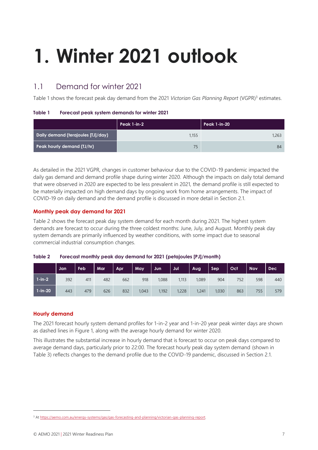# <span id="page-6-0"></span>**1. Winter 2021 outlook**

## <span id="page-6-1"></span>1.1 Demand for winter 2021

Table 1 shows the forecast peak day demand from the 2021 *Victorian Gas Planning Report* (VGPR) <sup>3</sup> estimates.

#### <span id="page-6-2"></span>**Table 1 Forecast peak system demands for winter 2021**

|                                    | Peak 1-in-2 | Peak 1-in-20 |  |  |
|------------------------------------|-------------|--------------|--|--|
| Daily demand (terajoules [TJ]/day) | 1,155       | 1.263        |  |  |
| Peak hourly demand (TJ/hr)         | 75          | 84           |  |  |

As detailed in the 2021 VGPR, changes in customer behaviour due to the COVID-19 pandemic impacted the daily gas demand and demand profile shape during winter 2020. Although the impacts on daily total demand that were observed in 2020 are expected to be less prevalent in 2021, the demand profile is still expected to be materially impacted on high demand days by ongoing work from home arrangements. The impact of COVID-19 on daily demand and the demand profile is discussed in more detail in Section [2.1.](#page-10-1)

### **Monthly peak day demand for 2021**

Table 2 shows the forecast peak day system demand for each month during 2021. The highest system demands are forecast to occur during the three coldest months: June, July, and August. Monthly peak day system demands are primarily influenced by weather conditions, with some impact due to seasonal commercial industrial consumption changes.

<span id="page-6-3"></span>

| Table 2 | Forecast monthly peak day demand for 2021 (petajoules [PJ]/month) |  |  |
|---------|-------------------------------------------------------------------|--|--|
|         |                                                                   |  |  |

|               | Jan | Feb | Mar | <b>Apr</b> | May   | Jun   | Jul   | Aug   | Sep   | <b>Oct</b> | <b>Nov</b> | <b>Dec</b> |
|---------------|-----|-----|-----|------------|-------|-------|-------|-------|-------|------------|------------|------------|
| $1-in-2$      | 392 | 411 | 482 | 662        | 918   | 1,088 | 1,113 | 1,089 | 904   | 752        | 598        | 440        |
| $1 - in - 20$ | 443 | 479 | 626 | 832        | 1,043 | 1,192 | 1,228 | 1,241 | 1,030 | 863        | 755        | 579        |

### **Hourly demand**

The 2021 forecast hourly system demand profiles for 1-in-2 year and 1-in-20 year peak winter days are shown as dashed lines in Figure 1, along with the average hourly demand for winter 2020.

This illustrates the substantial increase in hourly demand that is forecast to occur on peak days compared to average demand days, particularly prior to 22:00. The forecast hourly peak day system demand (shown in Table 3) reflects changes to the demand profile due to the COVID-19 pandemic, discussed in Section [2.1.](#page-10-1)

<sup>&</sup>lt;sup>3</sup> At [https://aemo.com.au/energy-systems/gas/gas-forecasting-and-planning/victorian-gas-planning-report.](https://aemo.com.au/energy-systems/gas/gas-forecasting-and-planning/victorian-gas-planning-report)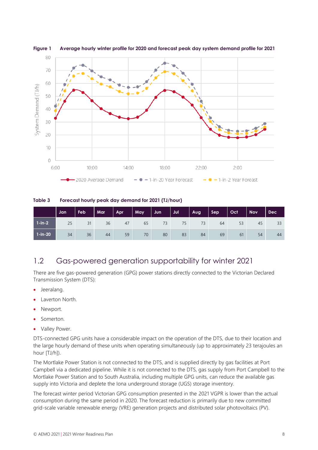

<span id="page-7-2"></span>**Figure 1 Average hourly winter profile for 2020 and forecast peak day system demand profile for 2021**

<span id="page-7-1"></span>**Table 3 Forecast hourly peak day demand for 2021 (TJ/hour)**

|           | Jan | Feb | Mar | Apr | <b>May</b> | Jun | Jul | Aug | Sep | Oct | <b>Nov</b> | <b>Dec</b> |
|-----------|-----|-----|-----|-----|------------|-----|-----|-----|-----|-----|------------|------------|
| $1-in-2$  | 25  | 31  | 36  | 47  | 65         | 73  | 75  | 73  | 64  | 53  | 45         | 33         |
| $1-in-20$ | 34  | 36  | 44  | 59  | 70         | 80  | 83  | 84  | 69  | 61  | 54         | 44         |

## <span id="page-7-0"></span>1.2 Gas-powered generation supportability for winter 2021

There are five gas-powered generation (GPG) power stations directly connected to the Victorian Declared Transmission System (DTS):

- Jeeralang.
- Laverton North.
- Newport.
- Somerton.
- Valley Power.

DTS-connected GPG units have a considerable impact on the operation of the DTS, due to their location and the large hourly demand of these units when operating simultaneously (up to approximately 23 terajoules an hour [TJ/h]).

The Mortlake Power Station is not connected to the DTS, and is supplied directly by gas facilities at Port Campbell via a dedicated pipeline. While it is not connected to the DTS, gas supply from Port Campbell to the Mortlake Power Station and to South Australia, including multiple GPG units, can reduce the available gas supply into Victoria and deplete the Iona underground storage (UGS) storage inventory.

The forecast winter period Victorian GPG consumption presented in the 2021 VGPR is lower than the actual consumption during the same period in 2020. The forecast reduction is primarily due to new committed grid-scale variable renewable energy (VRE) generation projects and distributed solar photovoltaics (PV).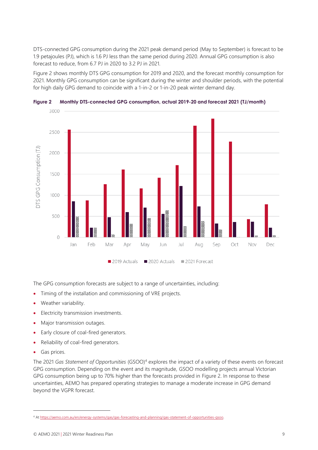DTS-connected GPG consumption during the 2021 peak demand period (May to September) is forecast to be 1.9 petajoules (PJ), which is 1.6 PJ less than the same period during 2020. Annual GPG consumption is also forecast to reduce, from 6.7 PJ in 2020 to 3.2 PJ in 2021.

[Figure 2](#page-8-0) shows monthly DTS GPG consumption for 2019 and 2020, and the forecast monthly consumption for 2021. Monthly GPG consumption can be significant during the winter and shoulder periods, with the potential for high daily GPG demand to coincide with a 1-in-2 or 1-in-20 peak winter demand day.



<span id="page-8-0"></span>

The GPG consumption forecasts are subject to a range of uncertainties, including:

- Timing of the installation and commissioning of VRE projects.
- Weather variability.
- Electricity transmission investments.
- Major transmission outages.
- Early closure of coal-fired generators.
- Reliability of coal-fired generators.
- Gas prices.

The 2021 *Gas Statement of Opportunities* (GSOO)<sup>4</sup> explores the impact of a variety of these events on forecast GPG consumption. Depending on the event and its magnitude, GSOO modelling projects annual Victorian GPG consumption being up to 70% higher than the forecasts provided in [Figure 2.](#page-8-0) In response to these uncertainties, AEMO has prepared operating strategies to manage a moderate increase in GPG demand beyond the VGPR forecast.

<sup>4</sup> At [https://aemo.com.au/en/energy-systems/gas/gas-forecasting-and-planning/gas-statement-of-opportunities-gsoo.](https://aemo.com.au/en/energy-systems/gas/gas-forecasting-and-planning/gas-statement-of-opportunities-gsoo)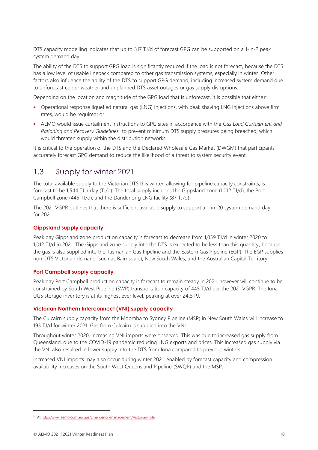DTS capacity modelling indicates that up to 317 TJ/d of forecast GPG can be supported on a 1-in-2 peak system demand day.

The ability of the DTS to support GPG load is significantly reduced if the load is not forecast, because the DTS has a low level of usable linepack compared to other gas transmission systems, especially in winter. Other factors also influence the ability of the DTS to support GPG demand, including increased system demand due to unforecast colder weather and unplanned DTS asset outages or gas supply disruptions.

Depending on the location and magnitude of the GPG load that is unforecast, it is possible that either:

- Operational response liquefied natural gas (LNG) injections, with peak shaving LNG injections above firm rates, would be required; or
- AEMO would issue curtailment instructions to GPG sites in accordance with the *Gas Load Curtailment and*  Rationing and Recovery Guidelines<sup>5</sup> to prevent minimum DTS supply pressures being breached, which would threaten supply within the distribution networks.

It is critical to the operation of the DTS and the Declared Wholesale Gas Market (DWGM) that participants accurately forecast GPG demand to reduce the likelihood of a threat to system security event.

### <span id="page-9-0"></span>1.3 Supply for winter 2021

The total available supply to the Victorian DTS this winter, allowing for pipeline capacity constraints, is forecast to be 1,544 TJ a day (TJ/d). The total supply includes the Gippsland zone (1,012 TJ/d), the Port Campbell zone (445 TJ/d), and the Dandenong LNG facility (87 TJ/d).

The 2021 VGPR outlines that there is sufficient available supply to support a 1-in-20 system demand day for 2021.

#### **Gippsland supply capacity**

Peak day Gippsland zone production capacity is forecast to decrease from 1,059 TJ/d in winter 2020 to 1,012 TJ/d in 2021. The Gippsland zone supply into the DTS is expected to be less than this quantity, because the gas is also supplied into the Tasmanian Gas Pipeline and the Eastern Gas Pipeline (EGP). The EGP supplies non-DTS Victorian demand (such as Bairnsdale), New South Wales, and the Australian Capital Territory.

#### **Port Campbell supply capacity**

Peak day Port Campbell production capacity is forecast to remain steady in 2021, however will continue to be constrained by South West Pipeline (SWP) transportation capacity of 445 TJ/d per the 2021 VGPR. The Iona UGS storage inventory is at its highest ever level, peaking at over 24.5 PJ.

#### **Victorian Northern Interconnect (VNI) supply capacity**

The Culcairn supply capacity from the Moomba to Sydney Pipeline (MSP) in New South Wales will increase to 195 TJ/d for winter 2021. Gas from Culcairn is supplied into the VNI.

Throughout winter 2020, increasing VNI imports were observed. This was due to increased gas supply from Queensland, due to the COVID-19 pandemic reducing LNG exports and prices. This increased gas supply via the VNI also resulted in lower supply into the DTS from Iona compared to previous winters.

Increased VNI imports may also occur during winter 2021, enabled by forecast capacity and compression availability increases on the South West Queensland Pipeline (SWQP) and the MSP.

<sup>5</sup> At [http://www.aemo.com.au/Gas/Emergency-management/Victorian-role.](http://www.aemo.com.au/Gas/Emergency-management/Victorian-role)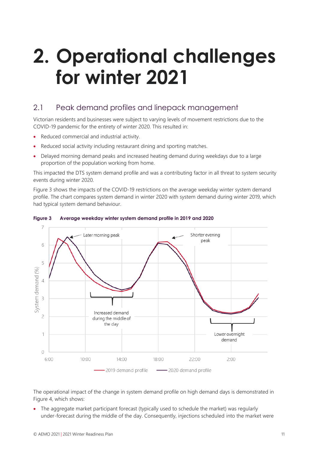## <span id="page-10-0"></span>**2. Operational challenges for winter 2021**

## <span id="page-10-1"></span>2.1 Peak demand profiles and linepack management

Victorian residents and businesses were subject to varying levels of movement restrictions due to the COVID-19 pandemic for the entirety of winter 2020. This resulted in:

- Reduced commercial and industrial activity.
- Reduced social activity including restaurant dining and sporting matches.
- Delayed morning demand peaks and increased heating demand during weekdays due to a large proportion of the population working from home.

This impacted the DTS system demand profile and was a contributing factor in all threat to system security events during winter 2020.

[Figure 3](#page-10-2) shows the impacts of the COVID-19 restrictions on the average weekday winter system demand profile. The chart compares system demand in winter 2020 with system demand during winter 2019, which had typical system demand behaviour.



#### <span id="page-10-2"></span>**Figure 3 Average weekday winter system demand profile in 2019 and 2020**

The operational impact of the change in system demand profile on high demand days is demonstrated in [Figure 4,](#page-11-0) which shows:

• The aggregate market participant forecast (typically used to schedule the market) was regularly under-forecast during the middle of the day. Consequently, injections scheduled into the market were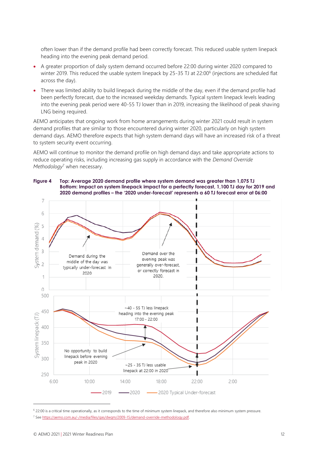often lower than if the demand profile had been correctly forecast. This reduced usable system linepack heading into the evening peak demand period.

- A greater proportion of daily system demand occurred before 22:00 during winter 2020 compared to winter 2019. This reduced the usable system linepack by 25-35 TJ at 22:00<sup>6</sup> (injections are scheduled flat across the day).
- There was limited ability to build linepack during the middle of the day, even if the demand profile had been perfectly forecast, due to the increased weekday demands. Typical system linepack levels leading into the evening peak period were 40-55 TJ lower than in 2019, increasing the likelihood of peak shaving LNG being required.

AEMO anticipates that ongoing work from home arrangements during winter 2021 could result in system demand profiles that are similar to those encountered during winter 2020, particularly on high system demand days. AEMO therefore expects that high system demand days will have an increased risk of a threat to system security event occurring.

AEMO will continue to monitor the demand profile on high demand days and take appropriate actions to reduce operating risks, including increasing gas supply in accordance with the *Demand Override Methodology*<sup>7</sup> when necessary.



#### <span id="page-11-0"></span>**Figure 4 Top: Average 2020 demand profile where system demand was greater than 1,075 TJ Bottom: Impact on system linepack impact for a perfectly forecast, 1,100 TJ day for 2019 and 2020 demand profiles – the '2020 under-forecast' represents a 60 TJ forecast error at 06:00**

<sup>6</sup> 22:00 is a critical time operationally, as it corresponds to the time of minimum system linepack, and therefore also minimum system pressure. <sup>7</sup> Se[e https://aemo.com.au/-/media/files/gas/dwgm/2009-15/demand-override-methodology.pdf.](https://aemo.com.au/-/media/files/gas/dwgm/2009-15/demand-override-methodology.pdf)

<sup>©</sup> AEMO 2021 | 2021 Winter Readiness Plan 12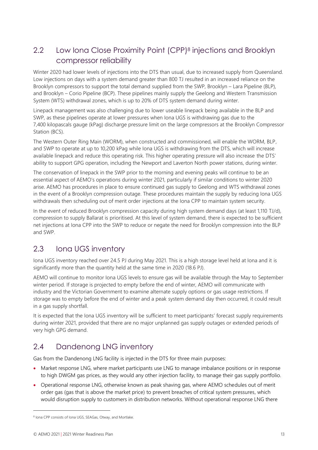## <span id="page-12-0"></span>2.2 Low Iona Close Proximity Point (CPP) <sup>8</sup> injections and Brooklyn compressor reliability

Winter 2020 had lower levels of injections into the DTS than usual, due to increased supply from Queensland. Low injections on days with a system demand greater than 800 TJ resulted in an increased reliance on the Brooklyn compressors to support the total demand supplied from the SWP, Brooklyn – Lara Pipeline (BLP), and Brooklyn – Corio Pipeline (BCP). These pipelines mainly supply the Geelong and Western Transmission System (WTS) withdrawal zones, which is up to 20% of DTS system demand during winter.

Linepack management was also challenging due to lower useable linepack being available in the BLP and SWP, as these pipelines operate at lower pressures when Iona UGS is withdrawing gas due to the 7,400 kilopascals gauge (kPag) discharge pressure limit on the large compressors at the Brooklyn Compressor Station (BCS).

The Western Outer Ring Main (WORM), when constructed and commissioned, will enable the WORM, BLP, and SWP to operate at up to 10,200 kPag while Iona UGS is withdrawing from the DTS, which will increase available linepack and reduce this operating risk. This higher operating pressure will also increase the DTS' ability to support GPG operation, including the Newport and Laverton North power stations, during winter.

The conservation of linepack in the SWP prior to the morning and evening peaks will continue to be an essential aspect of AEMO's operations during winter 2021, particularly if similar conditions to winter 2020 arise. AEMO has procedures in place to ensure continued gas supply to Geelong and WTS withdrawal zones in the event of a Brooklyn compression outage. These procedures maintain the supply by reducing Iona UGS withdrawals then scheduling out of merit order injections at the Iona CPP to maintain system security.

In the event of reduced Brooklyn compression capacity during high system demand days (at least 1,110 TJ/d), compression to supply Ballarat is prioritised. At this level of system demand, there is expected to be sufficient net injections at Iona CPP into the SWP to reduce or negate the need for Brooklyn compression into the BLP and SWP.

## <span id="page-12-1"></span>2.3 Iona UGS inventory

Iona UGS inventory reached over 24.5 PJ during May 2021. This is a high storage level held at Iona and it is significantly more than the quantity held at the same time in 2020 (18.6 PJ).

AEMO will continue to monitor Iona UGS levels to ensure gas will be available through the May to September winter period. If storage is projected to empty before the end of winter, AEMO will communicate with industry and the Victorian Government to examine alternate supply options or gas usage restrictions. If storage was to empty before the end of winter and a peak system demand day then occurred, it could result in a gas supply shortfall.

It is expected that the Iona UGS inventory will be sufficient to meet participants' forecast supply requirements during winter 2021, provided that there are no major unplanned gas supply outages or extended periods of very high GPG demand.

## <span id="page-12-2"></span>2.4 Dandenong LNG inventory

Gas from the Dandenong LNG facility is injected in the DTS for three main purposes:

- Market response LNG, where market participants use LNG to manage imbalance positions or in response to high DWGM gas prices, as they would any other injection facility, to manage their gas supply portfolio.
- Operational response LNG, otherwise known as peak shaving gas, where AEMO schedules out of merit order gas (gas that is above the market price) to prevent breaches of critical system pressures, which would disruption supply to customers in distribution networks. Without operational response LNG there

<sup>&</sup>lt;sup>8</sup> Iona CPP consists of Iona UGS, SEAGas, Otway, and Mortlake.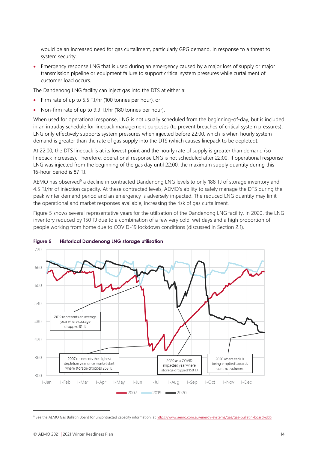would be an increased need for gas curtailment, particularly GPG demand, in response to a threat to system security.

• Emergency response LNG that is used during an emergency caused by a major loss of supply or major transmission pipeline or equipment failure to support critical system pressures while curtailment of customer load occurs.

The Dandenong LNG facility can inject gas into the DTS at either a:

- Firm rate of up to 5.5 TJ/hr (100 tonnes per hour), or
- Non-firm rate of up to 9.9 TJ/hr (180 tonnes per hour).

When used for operational response, LNG is not usually scheduled from the beginning-of-day, but is included in an intraday schedule for linepack management purposes (to prevent breaches of critical system pressures). LNG only effectively supports system pressures when injected before 22:00, which is when hourly system demand is greater than the rate of gas supply into the DTS (which causes linepack to be depleted).

At 22:00, the DTS linepack is at its lowest point and the hourly rate of supply is greater than demand (so linepack increases). Therefore, operational response LNG is not scheduled after 22:00. If operational response LNG was injected from the beginning of the gas day until 22:00, the maximum supply quantity during this 16-hour period is 87 TJ.

AEMO has observed<sup>9</sup> a decline in contracted Dandenong LNG levels to only 188 TJ of storage inventory and 4.5 TJ/hr of injection capacity. At these contracted levels, AEMO's ability to safely manage the DTS during the peak winter demand period and an emergency is adversely impacted. The reduced LNG quantity may limit the operational and market responses available, increasing the risk of gas curtailment.

[Figure 5](#page-13-0) shows several representative years for the utilisation of the Dandenong LNG facility. In 2020, the LNG inventory reduced by 150 TJ due to a combination of a few very cold, wet days and a high proportion of people working from home due to COVID-19 lockdown conditions (discussed in Section [2.1\)](#page-10-1).



#### <span id="page-13-0"></span>**Figure 5 Historical Dandenong LNG storage utilisation**

<sup>9</sup> See the AEMO Gas Bulletin Board for uncontracted capacity information, at [https://www.aemo.com.au/energy-systems/gas/gas-bulletin-board-gbb.](https://www.aemo.com.au/energy-systems/gas/gas-bulletin-board-gbb)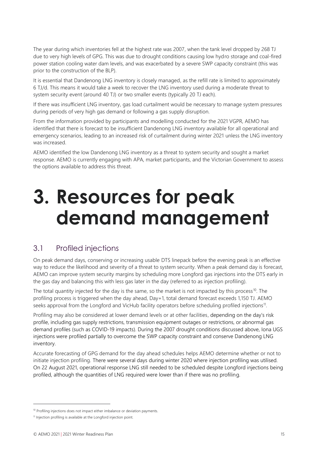The year during which inventories fell at the highest rate was 2007, when the tank level dropped by 268 TJ due to very high levels of GPG. This was due to drought conditions causing low hydro storage and coal-fired power station cooling water dam levels, and was exacerbated by a severe SWP capacity constraint (this was prior to the construction of the BLP).

It is essential that Dandenong LNG inventory is closely managed, as the refill rate is limited to approximately 6 TJ/d. This means it would take a week to recover the LNG inventory used during a moderate threat to system security event (around 40 TJ) or two smaller events (typically 20 TJ each).

If there was insufficient LNG inventory, gas load curtailment would be necessary to manage system pressures during periods of very high gas demand or following a gas supply disruption.

From the information provided by participants and modelling conducted for the 2021 VGPR, AEMO has identified that there is forecast to be insufficient Dandenong LNG inventory available for all operational and emergency scenarios, leading to an increased risk of curtailment during winter 2021 unless the LNG inventory was increased.

AEMO identified the low Dandenong LNG inventory as a threat to system security and sought a market response. AEMO is currently engaging with APA, market participants, and the Victorian Government to assess the options available to address this threat.

## <span id="page-14-0"></span>**3. Resources for peak demand management**

## <span id="page-14-1"></span>3.1 Profiled injections

On peak demand days, conserving or increasing usable DTS linepack before the evening peak is an effective way to reduce the likelihood and severity of a threat to system security. When a peak demand day is forecast, AEMO can improve system security margins by scheduling more Longford gas injections into the DTS early in the gas day and balancing this with less gas later in the day (referred to as injection profiling).

The total quantity injected for the day is the same, so the market is not impacted by this process<sup>10</sup>. The profiling process is triggered when the day ahead, Day+1, total demand forecast exceeds 1,150 TJ. AEMO seeks approval from the Longford and VicHub facility operators before scheduling profiled injections<sup>11</sup>.

Profiling may also be considered at lower demand levels or at other facilities, depending on the day's risk profile, including gas supply restrictions, transmission equipment outages or restrictions, or abnormal gas demand profiles (such as COVID-19 impacts). During the 2007 drought conditions discussed above, Iona UGS injections were profiled partially to overcome the SWP capacity constraint and conserve Dandenong LNG inventory.

Accurate forecasting of GPG demand for the day ahead schedules helps AEMO determine whether or not to initiate injection profiling. There were several days during winter 2020 where injection profiling was utilised. On 22 August 2021, operational response LNG still needed to be scheduled despite Longford injections being profiled, although the quantities of LNG required were lower than if there was no profiling.

<sup>&</sup>lt;sup>10</sup> Profiling injections does not impact either imbalance or deviation payments.

<sup>&</sup>lt;sup>11</sup> Injection profiling is available at the Longford injection point.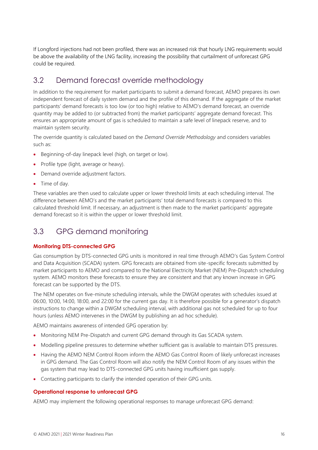If Longford injections had not been profiled, there was an increased risk that hourly LNG requirements would be above the availability of the LNG facility, increasing the possibility that curtailment of unforecast GPG could be required.

## <span id="page-15-0"></span>3.2 Demand forecast override methodology

In addition to the requirement for market participants to submit a demand forecast, AEMO prepares its own independent forecast of daily system demand and the profile of this demand. If the aggregate of the market participants' demand forecasts is too low (or too high) relative to AEMO's demand forecast, an override quantity may be added to (or subtracted from) the market participants' aggregate demand forecast. This ensures an appropriate amount of gas is scheduled to maintain a safe level of linepack reserve, and to maintain system security.

The override quantity is calculated based on the *Demand Override Methodology* and considers variables such as:

- Beginning-of-day linepack level (high, on target or low).
- Profile type (light, average or heavy).
- Demand override adjustment factors.
- Time of day.

These variables are then used to calculate upper or lower threshold limits at each scheduling interval. The difference between AEMO's and the market participants' total demand forecasts is compared to this calculated threshold limit. If necessary, an adjustment is then made to the market participants' aggregate demand forecast so it is within the upper or lower threshold limit.

## <span id="page-15-1"></span>3.3 GPG demand monitoring

### **Monitoring DTS-connected GPG**

Gas consumption by DTS-connected GPG units is monitored in real time through AEMO's Gas System Control and Data Acquisition (SCADA) system. GPG forecasts are obtained from site-specific forecasts submitted by market participants to AEMO and compared to the National Electricity Market (NEM) Pre-Dispatch scheduling system. AEMO monitors these forecasts to ensure they are consistent and that any known increase in GPG forecast can be supported by the DTS.

The NEM operates on five-minute scheduling intervals, while the DWGM operates with schedules issued at 06:00, 10:00, 14:00, 18:00, and 22:00 for the current gas day. It is therefore possible for a generator's dispatch instructions to change within a DWGM scheduling interval, with additional gas not scheduled for up to four hours (unless AEMO intervenes in the DWGM by publishing an ad hoc schedule).

AEMO maintains awareness of intended GPG operation by:

- Monitoring NEM Pre-Dispatch and current GPG demand through its Gas SCADA system.
- Modelling pipeline pressures to determine whether sufficient gas is available to maintain DTS pressures.
- Having the AEMO NEM Control Room inform the AEMO Gas Control Room of likely unforecast increases in GPG demand. The Gas Control Room will also notify the NEM Control Room of any issues within the gas system that may lead to DTS-connected GPG units having insufficient gas supply.
- Contacting participants to clarify the intended operation of their GPG units.

#### **Operational response to unforecast GPG**

AEMO may implement the following operational responses to manage unforecast GPG demand: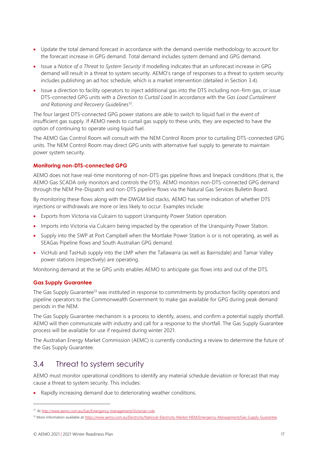- Update the total demand forecast in accordance with the demand override methodology to account for the forecast increase in GPG demand. Total demand includes system demand and GPG demand.
- Issue a *Notice of a Threat to System Security* if modelling indicates that an unforecast increase in GPG demand will result in a threat to system security. AEMO's range of responses to a threat to system security includes publishing an ad hoc schedule, which is a market intervention (detailed in Section [3.4\)](#page-16-0).
- Issue a direction to facility operators to inject additional gas into the DTS including non-firm gas, or issue DTS-connected GPG units with a *Direction to Curtail Load* In accordance with the *Gas Load Curtailment and Rationing and Recovery Guidelines*<sup>12</sup> .

The four largest DTS-connected GPG power stations are able to switch to liquid fuel in the event of insufficient gas supply. If AEMO needs to curtail gas supply to these units, they are expected to have the option of continuing to operate using liquid fuel.

The AEMO Gas Control Room will consult with the NEM Control Room prior to curtailing DTS-connected GPG units. The NEM Control Room may direct GPG units with alternative fuel supply to generate to maintain power system security.

### **Monitoring non-DTS-connected GPG**

AEMO does not have real-time monitoring of non-DTS gas pipeline flows and linepack conditions (that is, the AEMO Gas SCADA only monitors and controls the DTS). AEMO monitors non-DTS-connected GPG demand through the NEM Pre-Dispatch and non-DTS pipeline flows via the Natural Gas Services Bulletin Board.

By monitoring these flows along with the DWGM bid stacks, AEMO has some indication of whether DTS injections or withdrawals are more or less likely to occur. Examples include:

- Exports from Victoria via Culcairn to support Uranquinty Power Station operation.
- Imports into Victoria via Culcairn being impacted by the operation of the Uranquinty Power Station.
- Supply into the SWP at Port Campbell when the Mortlake Power Station is or is not operating, as well as SEAGas Pipeline flows and South Australian GPG demand.
- VicHub and TasHub supply into the LMP when the Tallawarra (as well as Bairnsdale) and Tamar Valley power stations (respectively) are operating.

Monitoring demand at the se GPG units enables AEMO to anticipate gas flows into and out of the DTS.

#### **Gas Supply Guarantee**

The Gas Supply Guarantee<sup>13</sup> was instituted in response to commitments by production facility operators and pipeline operators to the Commonwealth Government to make gas available for GPG during peak demand periods in the NEM.

The Gas Supply Guarantee mechanism is a process to identify, assess, and confirm a potential supply shortfall. AEMO will then communicate with industry and call for a response to the shortfall. The Gas Supply Guarantee process will be available for use if required during winter 2021.

The Australian Energy Market Commission (AEMC) is currently conducting a review to determine the future of the Gas Supply Guarantee.

## <span id="page-16-0"></span>3.4 Threat to system security

AEMO must monitor operational conditions to identify any material schedule deviation or forecast that may cause a threat to system security. This includes:

• Rapidly increasing demand due to deteriorating weather conditions.

<sup>12</sup> At [http://www.aemo.com.au/Gas/Emergency-management/Victorian-role.](http://www.aemo.com.au/Gas/Emergency-management/Victorian-role)

<sup>13</sup> More information available at [https://www.aemo.com.au/Electricity/National-Electricity-Market-NEM/Emergency-Management/Gas-Supply-Guarantee.](https://www.aemo.com.au/Electricity/National-Electricity-Market-NEM/Emergency-Management/Gas-Supply-Guarantee)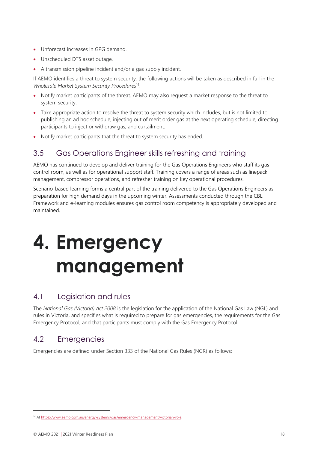- Unforecast increases in GPG demand.
- Unscheduled DTS asset outage.
- A transmission pipeline incident and/or a gas supply incident.

If AEMO identifies a threat to system security, the following actions will be taken as described in full in the *Wholesale Market System Security Procedures*<sup>14</sup>:

- Notify market participants of the threat. AEMO may also request a market response to the threat to system security.
- Take appropriate action to resolve the threat to system security which includes, but is not limited to, publishing an ad hoc schedule, injecting out of merit order gas at the next operating schedule, directing participants to inject or withdraw gas, and curtailment.
- Notify market participants that the threat to system security has ended.

## <span id="page-17-0"></span>3.5 Gas Operations Engineer skills refreshing and training

AEMO has continued to develop and deliver training for the Gas Operations Engineers who staff its gas control room, as well as for operational support staff. Training covers a range of areas such as linepack management, compressor operations, and refresher training on key operational procedures.

Scenario-based learning forms a central part of the training delivered to the Gas Operations Engineers as preparation for high demand days in the upcoming winter. Assessments conducted through the CBL Framework and e-learning modules ensures gas control room competency is appropriately developed and maintained.

# <span id="page-17-1"></span>**4. Emergency management**

## <span id="page-17-2"></span>4.1 Legislation and rules

The *National Gas (Victoria) Act 2008* is the legislation for the application of the National Gas Law (NGL) and rules in Victoria, and specifies what is required to prepare for gas emergencies, the requirements for the Gas Emergency Protocol, and that participants must comply with the Gas Emergency Protocol.

## <span id="page-17-3"></span>4.2 Emergencies

Emergencies are defined under Section 333 of the National Gas Rules (NGR) as follows:

<sup>&</sup>lt;sup>14</sup> A[t https://www.aemo.com.au/energy-systems/gas/emergency-management/victorian-role.](https://www.aemo.com.au/energy-systems/gas/emergency-management/victorian-role)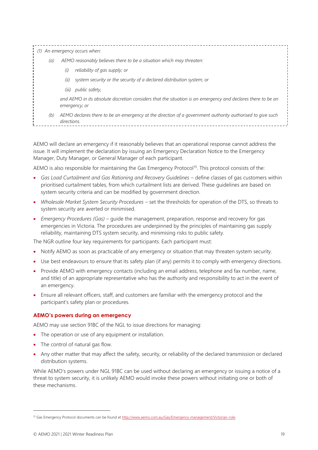|     | An emergency occurs when:                                                                                                     |
|-----|-------------------------------------------------------------------------------------------------------------------------------|
| (a) | AEMO reasonably believes there to be a situation which may threaten:                                                          |
|     | reliability of gas supply; or<br>(i)                                                                                          |
|     | system security or the security of a declared distribution system; or<br>(ii)                                                 |
|     | (iii) public safety,                                                                                                          |
|     | and AEMO in its absolute discretion considers that the situation is an emergency and declares there to be an<br>emergency; or |
| (b) | AEMO declares there to be an emergency at the direction of a government authority authorised to give such<br>directions.      |

AEMO will declare an emergency if it reasonably believes that an operational response cannot address the issue. It will implement the declaration by issuing an Emergency Declaration Notice to the Emergency Manager, Duty Manager, or General Manager of each participant.

AEMO is also responsible for maintaining the Gas Emergency Protocol<sup>15</sup>. This protocol consists of the:

- Gas Load Curtailment and Gas Rationing and Recovery Guidelines define classes of gas customers within prioritised curtailment tables, from which curtailment lists are derived. These guidelines are based on system security criteria and can be modified by government direction.
- *Wholesale Market System Security Procedures* set the thresholds for operation of the DTS, so threats to system security are averted or minimised.
- *Emergency Procedures (Gas)* guide the management, preparation, response and recovery for gas emergencies in Victoria. The procedures are underpinned by the principles of maintaining gas supply reliability, maintaining DTS system security, and minimising risks to public safety.

The NGR outline four key requirements for participants. Each participant must:

- Notify AEMO as soon as practicable of any emergency or situation that may threaten system security.
- Use best endeavours to ensure that its safety plan (if any) permits it to comply with emergency directions.
- Provide AEMO with emergency contacts (including an email address, telephone and fax number, name, and title) of an appropriate representative who has the authority and responsibility to act in the event of an emergency.
- Ensure all relevant officers, staff, and customers are familiar with the emergency protocol and the participant's safety plan or procedures.

#### **AEMO's powers during an emergency**

AEMO may use section 91BC of the NGL to issue directions for managing:

- The operation or use of any equipment or installation.
- The control of natural gas flow.
- Any other matter that may affect the safety, security, or reliability of the declared transmission or declared distribution systems.

While AEMO's powers under NGL 91BC can be used without declaring an emergency or issuing a notice of a threat to system security, it is unlikely AEMO would invoke these powers without initiating one or both of these mechanisms.

<sup>&</sup>lt;sup>15</sup> Gas Emergency Protocol documents can be found a[t http://www.aemo.com.au/Gas/Emergency-management/Victorian-role.](http://www.aemo.com.au/Gas/Emergency-management/Victorian-role)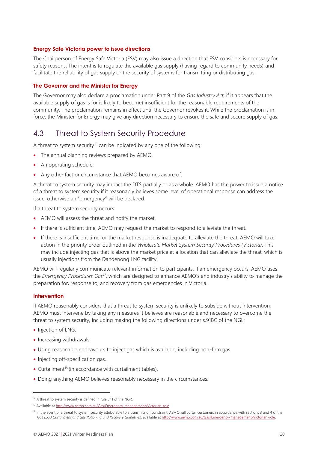#### **Energy Safe Victoria power to issue directions**

The Chairperson of Energy Safe Victoria (ESV) may also issue a direction that ESV considers is necessary for safety reasons. The intent is to regulate the available gas supply (having regard to community needs) and facilitate the reliability of gas supply or the security of systems for transmitting or distributing gas.

#### **The Governor and the Minister for Energy**

The Governor may also declare a proclamation under Part 9 of the *Gas Industry Act*, if it appears that the available supply of gas is (or is likely to become) insufficient for the reasonable requirements of the community. The proclamation remains in effect until the Governor revokes it. While the proclamation is in force, the Minister for Energy may give any direction necessary to ensure the safe and secure supply of gas.

## <span id="page-19-0"></span>4.3 Threat to System Security Procedure

A threat to system security<sup>16</sup> can be indicated by any one of the following:

- The annual planning reviews prepared by AEMO.
- An operating schedule.
- Any other fact or circumstance that AEMO becomes aware of.

A threat to system security may impact the DTS partially or as a whole. AEMO has the power to issue a notice of a threat to system security if it reasonably believes some level of operational response can address the issue, otherwise an "emergency" will be declared.

If a threat to system security occurs:

- AEMO will assess the threat and notify the market.
- If there is sufficient time, AEMO may request the market to respond to alleviate the threat.
- If there is insufficient time, or the market response is inadequate to alleviate the threat, AEMO will take action in the priority order outlined in the *Wholesale Market System Security Procedures (Victoria)*. This may include injecting gas that is above the market price at a location that can alleviate the threat, which is usually injections from the Dandenong LNG facility.

AEMO will regularly communicate relevant information to participants. If an emergency occurs, AEMO uses the *Emergency Procedures Gas<sup>17</sup>*, which are designed to enhance AEMO's and industry's ability to manage the preparation for, response to, and recovery from gas emergencies in Victoria.

#### **Intervention**

If AEMO reasonably considers that a threat to system security is unlikely to subside without intervention, AEMO must intervene by taking any measures it believes are reasonable and necessary to overcome the threat to system security, including making the following directions under s.91BC of the NGL:

- Injection of LNG.
- Increasing withdrawals.
- Using reasonable endeavours to inject gas which is available, including non-firm gas.
- Injecting off-specification gas.
- Curtailment<sup>18</sup> (in accordance with curtailment tables).
- Doing anything AEMO believes reasonably necessary in the circumstances.

<sup>16</sup> A threat to system security is defined in rule 341 of the NGR.

<sup>17</sup> Available at [http://www.aemo.com.au/Gas/Emergency-management/Victorian-role.](http://www.aemo.com.au/Gas/Emergency-management/Victorian-role)

<sup>18</sup> In the event of a threat to system security attributable to a transmission constraint, AEMO will curtail customers in accordance with sections 3 and 4 of the *Gas Load Curtailment and Gas Rationing and Recovery Guidelines*, available a[t http://www.aemo.com.au/Gas/Emergency-management/Victorian-role.](http://www.aemo.com.au/Gas/Emergency-management/Victorian-role)